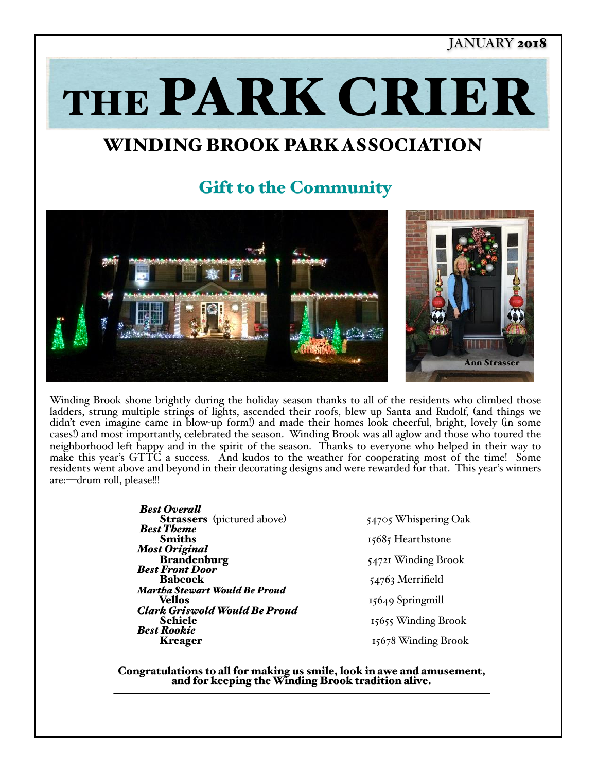#### JANUARY 2018

THE PARK CRIER

# WINDING BROOK PARK ASSOCIATION

## Gift to the Community



Winding Brook shone brightly during the holiday season thanks to all of the residents who climbed those ladders, strung multiple strings of lights, ascended their roofs, blew up Santa and Rudolf, (and things we didn't even imagine came in blow-up form!) and made their homes look cheerful, bright, lovely (in some cases!) and most importantly, celebrated the season. Winding Brook was all aglow and those who toured the neighborhood left happy and in the spirit of the season. Thanks to everyone who helped in their way to make this year's GTTC a success. And kudos to the weather for cooperating most of the time! Some residents went above and beyond in their decorating designs and were rewarded for that. This year's winners are:—drum roll, please!!!

> **Best Overall Strassers** (pictured above) 54705 Whispering Oak **Best Theme** Smiths 15685 Hearthstone *Most Original* **Brandenburg 64721 Winding Brook**<br> **Best Front Door**<br> **Babcock** 54763 Merrifield **Martha Stewart Would Be Proud**<br> **Vellos** 15649 Springmill **Clark Griswold Would Be Proud**<br> **Schiele** 15655 Winding Brook<br> **Best Rookie** 15678 Winding Brook<br> **Kreager** 15678 Winding Brook

15678 Winding Brook

Congratulations to all for making us smile, look in awe and amusement, and for keeping the Winding Brook tradition alive.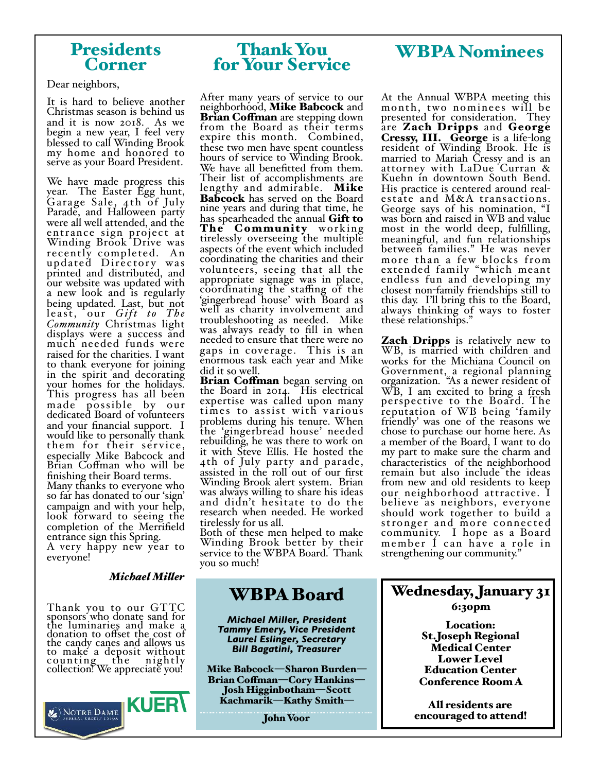#### Presidents Corner

Dear neighbors,

It is hard to believe another Christmas season is behind us and it is now 2018. As we begin a new year, I feel very blessed to call Winding Brook my home and honored to serve as your Board President.

We have made progress this year. The Easter Egg hunt, Gara ge Sale, 4th of July Parade, and Halloween party were all well attended, and the entrance sign project at Winding Brook Drive was recently completed. An updated Directory was printed and distributed, and our website was updated with a new look and is regularly being updated. Last, but not least, our *Gift to The Community* Christmas light displays were a success and much needed funds were raised for the charities. I want to thank everyone for joining in the spirit and decorating your homes for the holidays. This progress has all been made possible by our dedicated Board of volunteers and your financial support. I would like to personally thank them for their service, especially Mike Babcock and Brian Coffman who will be finishing their Board terms. Many thanks to everyone who so far has donated to our 'sign' campaign and with your help, look forward to seeing the completion of the Merrifield entrance sign this Spring.

A very happy new year to everyone!

#### *Michael Miler*

Thank you to our GTTC sponsors who donate sand for the luminaries and make a donation to offset the cost of the candy canes and allows us to make a deposit without counting<sub>w</sub> the nightly collection! We appreciate you!



### Thank You for Your Service

After many years of service to our neighborhood, Mike Babcock and<br>Brian Coffman are stepping down from the Board as their terms expire this month. Combined, these two men have spent countless hours of service to Winding Brook. We have all benefitted from them. Their list of accomplishments are lengthy and admirable. Mike Babcock has served on the Board nine years and during that time, he has spearheaded the annual Gift to The Community working<br>tirelessly overseeing the multiple aspects of the event which included coordinating the charities and their volunteers, seeing that all the appropriate signage was in place, coordinating the staffing of the 'gingerbread house' with Board as well as charity involvement and troubleshooting as needed. Mike was always ready to fill in when needed to ensure that there were no gaps in coverage. This is an enormous task each year and Mike did it so well.

Brian Coffman began serving on the Board in 2014. His electrical expertise was called upon many times to assist with various problems during his tenure. When the 'gingerbread house' needed rebuilding, he was there to work on it with Steve Ellis. He hosted the 4th of July party and parade, assisted in the roll out of our first Winding Brook alert system. Brian was always willing to share his ideas and didn't hesitate to do the research when needed. He worked tirelessly for us all.

Both of these men helped to make Winding Brook better by their service to the WBPA Board. Thank you so much!

## WBPA Board

*Michael Miller, President Tammy Emery, Vice President Laurel Eslinger, Secretary Bill Bagatini, Treasurer*

Mike Babcock—Sharon Burden— Brian Cofman—Cory Hankins— Josh Higginbotham—Scott Kachmarik—Kathy Smith—

John Voor

## WBPA Nominees

At the Annual WBPA meeting this month, two nominees will be presented for consideration. They are Zach Dripps and George Cressy, III. George is a life-long resident of Winding Brook. He is married to Mariah Cressy and is an attorney with LaDue Curran & Kuehn in downtown South Bend.<br>His practice is centered around realestate and M&A transactions. George says of his nomination, "I was born and raised in WB and value most in the world deep, fulfilling, meaningful, and fun relationships between families." He was never more than a few blocks from extended family "which meant endless fun and developing my closest non-family friendships still to<br>this day. I'll bring this to the Board, always thinking of ways to foster these relationships."

**Zach Dripps** is relatively new to WB, is married with children and works for the Michiana Council on Government, a regional planning organization. "As a newer resident of WB, I am excited to bring a fresh perspective to the Board. The reputation of WB being 'family friendly' was one of the reasons we chose to purchase our home here. As a member of the Board, I want to do my part to make sure the charm and characteristics of the neighborhood remain but also include the ideas from new and old residents to keep our neighborhood attractive. I believe as neighbors, everyone should work together to build a stronger and more connected community. I hope as a Board member I can have a role in strengthening our community."

## Wednesday, January 31

6:30pm

Location: St.Joseph Regional Medical Center Lower Level Education Center Conference Room A

All residents are encouraged to attend!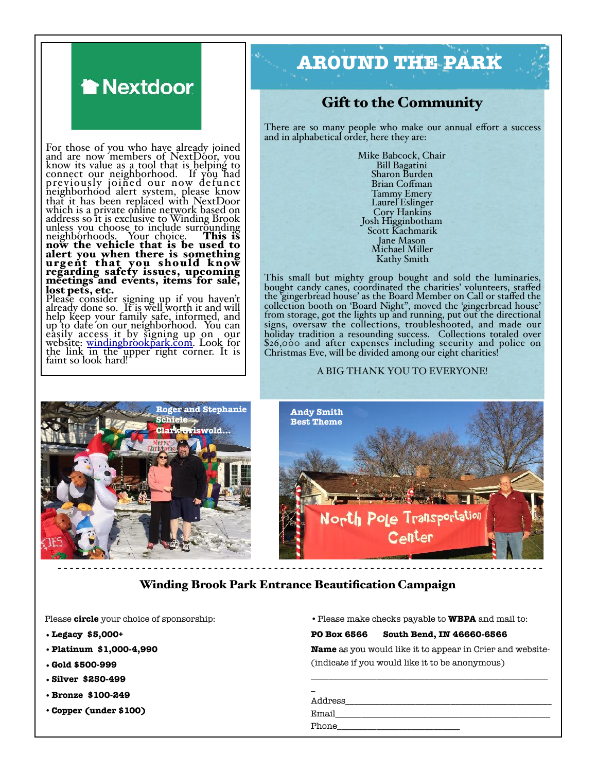

For those of you who have already joined and are now members of NextDoor, you know its value as a tool that is helping to connect our neighborhood. If you had previously joined our now defunct neighborhood alert system, please know that it has been replaced with NextDoor which is a private online network based on address so it is exclusive to Winding Brook unless you choose to include surrounding neighborhoods. Your choice. This is now the vehicle that is be used to alert you when there is something urgent that you should know regarding safety issues, upcoming meetings and events, items for sale, lost pets, etc.

Please consider signing up if you haven't already done so. It is well worth it and will help keep your family safe, informed, and up to date on our neighborhood. You can easily access it by signing up on our website: [windingbrookpark.com.](http://windingbrookpark.com) Look for the link in the upper right corner. It is faint so look hard!

# **AROUND THE PARK**

#### Gift to the Community

There are so many people who make our annual effort a success and in alphabetical order, here they are:

> Mike Babcock, Chair Bill Bagatini Sharon Burden Brian Coffman Tammy Emery Laurel Eslinger<br>Cory Hankins Cory Hankins Josh Higginbotham Scott Kachmarik Jane Mason Michael Miller Kathy Smith

This small but mighty group bought and sold the luminaries, bought candy canes, coordinated the charities' volunteers, staffed the 'gingerbread house' as the Board Member on Call or staffed the collection booth on 'Board Night", moved the 'gingerbread house' from storage, got the lights up and running, put out the directional signs, oversaw the collections, troubleshooted, and made our holiday tradition a resounding success. Collections totaled over \$26,000 and after expenses including security and police on Christmas Eve, will be divided among our eight charities!

#### A BIG THANK YOU TO EVERYONE!





#### Winding Brook Park Entrance Beautification Campaign

Please **circle** your choice of sponsorship:

- **•Legacy \$5,000+**
- **•Platinum \$1,000-4,990**
- **•Gold \$500-999**
- **•Silver \$250-499**
- **•Bronze \$100-249**
- •**Copper (under \$100)**

•Please make checks payable to **WBPA** and mail to:

#### **PO Box 6566 South Bend, IN 46660-6566**

**Name** as you would like it to appear in Crier and website- (indicate if you would like it to be anonymous)

\_\_\_\_\_\_\_\_\_\_\_\_\_\_\_\_\_\_\_\_\_\_\_\_\_\_\_\_\_\_\_\_\_\_\_\_\_\_\_\_\_\_\_\_\_\_\_\_\_\_\_\_\_\_

| Address |
|---------|
| Email   |
| Phone   |